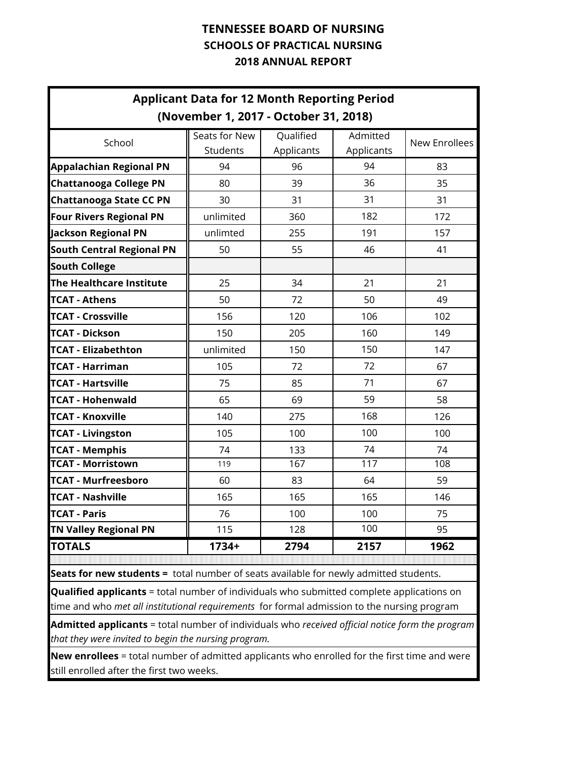|                                                                                                                                                                                                        |                                       | <b>Applicant Data for 12 Month Reporting Period</b> |                        |                      |  |  |  |  |  |  |  |  |  |  |
|--------------------------------------------------------------------------------------------------------------------------------------------------------------------------------------------------------|---------------------------------------|-----------------------------------------------------|------------------------|----------------------|--|--|--|--|--|--|--|--|--|--|
|                                                                                                                                                                                                        | (November 1, 2017 - October 31, 2018) |                                                     |                        |                      |  |  |  |  |  |  |  |  |  |  |
| School                                                                                                                                                                                                 | Seats for New<br>Students             | Qualified<br>Applicants                             | Admitted<br>Applicants | <b>New Enrollees</b> |  |  |  |  |  |  |  |  |  |  |
| <b>Appalachian Regional PN</b>                                                                                                                                                                         | 94                                    | 96                                                  | 94                     | 83                   |  |  |  |  |  |  |  |  |  |  |
| <b>Chattanooga College PN</b>                                                                                                                                                                          | 80                                    | 39                                                  | 36                     | 35                   |  |  |  |  |  |  |  |  |  |  |
| <b>Chattanooga State CC PN</b>                                                                                                                                                                         | 30                                    | 31                                                  | 31                     | 31                   |  |  |  |  |  |  |  |  |  |  |
| Four Rivers Regional PN                                                                                                                                                                                | unlimited                             | 360                                                 | 182                    | 172                  |  |  |  |  |  |  |  |  |  |  |
| <b>Jackson Regional PN</b>                                                                                                                                                                             | unlimted                              | 255                                                 | 191                    | 157                  |  |  |  |  |  |  |  |  |  |  |
| <b>South Central Regional PN</b>                                                                                                                                                                       | 50                                    | 55                                                  | 46                     | 41                   |  |  |  |  |  |  |  |  |  |  |
| <b>South College</b>                                                                                                                                                                                   |                                       |                                                     |                        |                      |  |  |  |  |  |  |  |  |  |  |
| The Healthcare Institute                                                                                                                                                                               | 25                                    | 34                                                  | 21                     | 21                   |  |  |  |  |  |  |  |  |  |  |
| <b>TCAT - Athens</b>                                                                                                                                                                                   | 50                                    | 72                                                  | 50                     | 49                   |  |  |  |  |  |  |  |  |  |  |
| <b>TCAT - Crossville</b>                                                                                                                                                                               | 156                                   | 120                                                 | 106                    | 102                  |  |  |  |  |  |  |  |  |  |  |
| <b>TCAT - Dickson</b>                                                                                                                                                                                  | 150                                   | 205                                                 | 160                    | 149                  |  |  |  |  |  |  |  |  |  |  |
| <b>TCAT - Elizabethton</b>                                                                                                                                                                             | unlimited                             | 150                                                 | 150                    | 147                  |  |  |  |  |  |  |  |  |  |  |
| <b>TCAT - Harriman</b>                                                                                                                                                                                 | 105                                   | 72                                                  | 72                     | 67                   |  |  |  |  |  |  |  |  |  |  |
| <b>TCAT - Hartsville</b>                                                                                                                                                                               | 75                                    | 85                                                  | 71                     | 67                   |  |  |  |  |  |  |  |  |  |  |
| <b>TCAT - Hohenwald</b>                                                                                                                                                                                | 65                                    | 69                                                  | 59                     | 58                   |  |  |  |  |  |  |  |  |  |  |
| <b>TCAT - Knoxville</b>                                                                                                                                                                                | 140                                   | 275                                                 | 168                    | 126                  |  |  |  |  |  |  |  |  |  |  |
| <b>TCAT - Livingston</b>                                                                                                                                                                               | 105                                   | 100                                                 | 100                    | 100                  |  |  |  |  |  |  |  |  |  |  |
| <b>TCAT - Memphis</b>                                                                                                                                                                                  | 74                                    | 133                                                 | 74                     | 74                   |  |  |  |  |  |  |  |  |  |  |
| <b>TCAT - Morristown</b>                                                                                                                                                                               | 119                                   | 167                                                 | 117                    | 108                  |  |  |  |  |  |  |  |  |  |  |
| <b>TCAT - Murfreesboro</b>                                                                                                                                                                             | 60                                    | 83                                                  | 64                     | 59                   |  |  |  |  |  |  |  |  |  |  |
| <b>TCAT - Nashville</b>                                                                                                                                                                                | 165                                   | 165                                                 | 165                    | 146                  |  |  |  |  |  |  |  |  |  |  |
| <b>TCAT - Paris</b>                                                                                                                                                                                    | 76                                    | 100                                                 | 100                    | 75                   |  |  |  |  |  |  |  |  |  |  |
| <b>TN Valley Regional PN</b>                                                                                                                                                                           | 115                                   | 128                                                 | 100                    | 95                   |  |  |  |  |  |  |  |  |  |  |
| <b>TOTALS</b>                                                                                                                                                                                          | $1734+$                               | 2794                                                | 2157                   | 1962                 |  |  |  |  |  |  |  |  |  |  |
| Seats for new students = total number of seats available for newly admitted students.                                                                                                                  |                                       |                                                     |                        |                      |  |  |  |  |  |  |  |  |  |  |
|                                                                                                                                                                                                        |                                       |                                                     |                        |                      |  |  |  |  |  |  |  |  |  |  |
| <b>Qualified applicants</b> = total number of individuals who submitted complete applications on<br>time and who <i>met all institutional requirements</i> for formal admission to the nursing program |                                       |                                                     |                        |                      |  |  |  |  |  |  |  |  |  |  |
| <b>Admitted applicants</b> = total number of individuals who received official notice form the program<br>that they were invited to begin the nursing program.                                         |                                       |                                                     |                        |                      |  |  |  |  |  |  |  |  |  |  |

**New enrollees** = total number of admitted applicants who enrolled for the first time and were still enrolled after the first two weeks.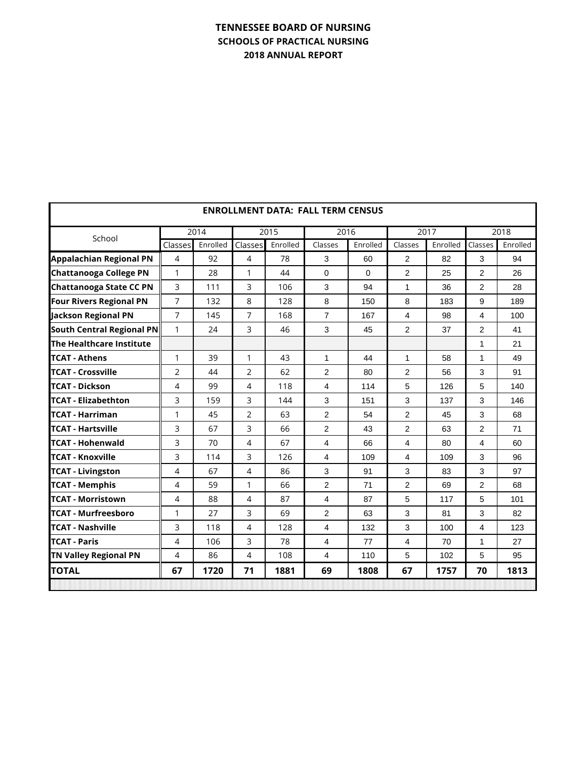|                                |                |          |                |          | <b>ENROLLMENT DATA: FALL TERM CENSUS</b> |             |                         |          |                |          |
|--------------------------------|----------------|----------|----------------|----------|------------------------------------------|-------------|-------------------------|----------|----------------|----------|
| School                         |                | 2014     |                | 2015     | 2016                                     |             |                         | 2017     |                | 2018     |
|                                | Classes        | Enrolled | Classes        | Enrolled | Classes                                  | Enrolled    | Classes                 | Enrolled | Classes        | Enrolled |
| <b>Appalachian Regional PN</b> | $\overline{4}$ | 92       | 4              | 78       | 3                                        | 60          | 2                       | 82       | 3              | 94       |
| <b>Chattanooga College PN</b>  | 1              | 28       | 1              | 44       | 0                                        | $\mathbf 0$ | 2                       | 25       | 2              | 26       |
| <b>Chattanooga State CC PN</b> | 3              | 111      | 3              | 106      | 3                                        | 94          | 1                       | 36       | $\overline{2}$ | 28       |
| <b>Four Rivers Regional PN</b> | 7              | 132      | 8              | 128      | 8                                        | 150         | 8                       | 183      | 9              | 189      |
| Jackson Regional PN            | $\overline{7}$ | 145      | 7              | 168      | $\overline{7}$                           | 167         | 4                       | 98       | 4              | 100      |
| South Central Regional PN      | $\mathbf{1}$   | 24       | 3              | 46       | 3                                        | 45          | $\overline{2}$          | 37       | 2              | 41       |
| The Healthcare Institute       |                |          |                |          |                                          |             |                         |          | 1              | 21       |
| lTCAT - Athens                 | 1              | 39       | 1              | 43       | $\mathbf{1}$                             | 44          | $\mathbf{1}$            | 58       | $\mathbf{1}$   | 49       |
| <b>TCAT - Crossville</b>       | $\overline{2}$ | 44       | 2              | 62       | 2                                        | 80          | 2                       | 56       | 3              | 91       |
| <b>TCAT - Dickson</b>          | 4              | 99       | 4              | 118      | 4                                        | 114         | 5                       | 126      | 5              | 140      |
| <b>TCAT - Elizabethton</b>     | 3              | 159      | 3              | 144      | 3                                        | 151         | 3                       | 137      | 3              | 146      |
| <b>TCAT - Harriman</b>         | $\mathbf{1}$   | 45       | $\overline{2}$ | 63       | 2                                        | 54          | $\overline{2}$          | 45       | 3              | 68       |
| <b>TCAT - Hartsville</b>       | 3              | 67       | 3              | 66       | 2                                        | 43          | 2                       | 63       | 2              | 71       |
| <b>TCAT - Hohenwald</b>        | 3              | 70       | 4              | 67       | 4                                        | 66          | $\overline{4}$          | 80       | 4              | 60       |
| <b>TCAT - Knoxville</b>        | 3              | 114      | 3              | 126      | 4                                        | 109         | $\overline{\mathbf{4}}$ | 109      | 3              | 96       |
| <b>TCAT - Livingston</b>       | 4              | 67       | 4              | 86       | 3                                        | 91          | 3                       | 83       | 3              | 97       |
| <b>TCAT - Memphis</b>          | 4              | 59       | 1              | 66       | $\overline{2}$                           | 71          | $\overline{2}$          | 69       | $\overline{2}$ | 68       |
| <b>TCAT - Morristown</b>       | 4              | 88       | 4              | 87       | 4                                        | 87          | 5                       | 117      | 5              | 101      |
| <b>TCAT - Murfreesboro</b>     | $\mathbf{1}$   | 27       | 3              | 69       | $\overline{2}$                           | 63          | 3                       | 81       | 3              | 82       |
| <b>ITCAT - Nashville</b>       | 3              | 118      | 4              | 128      | 4                                        | 132         | 3                       | 100      | 4              | 123      |
| <b>TCAT - Paris</b>            | $\overline{4}$ | 106      | 3              | 78       | $\overline{4}$                           | 77          | 4                       | 70       | 1              | 27       |
| <b>TN Valley Regional PN</b>   | 4              | 86       | 4              | 108      | 4                                        | 110         | 5                       | 102      | 5              | 95       |
| <b>TOTAL</b>                   | 67             | 1720     | 71             | 1881     | 69                                       | 1808        | 67                      | 1757     | 70             | 1813     |
|                                |                |          |                |          |                                          |             |                         |          |                |          |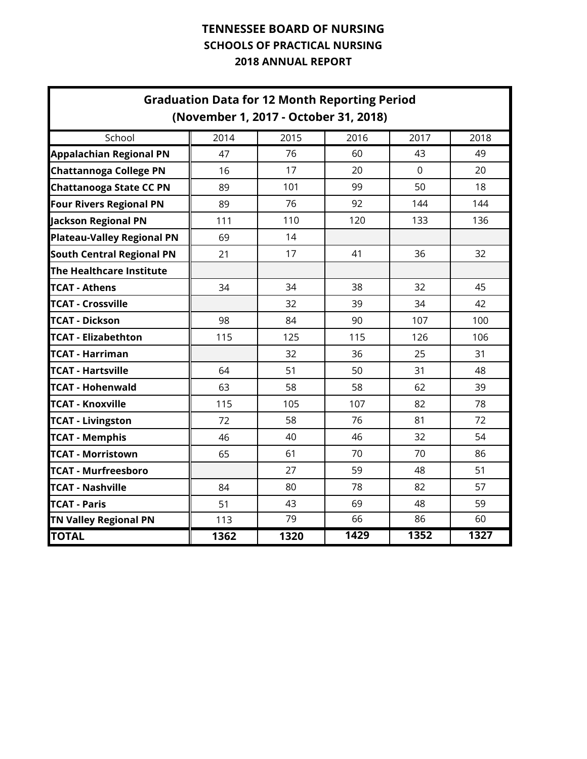|                                   | <b>Graduation Data for 12 Month Reporting Period</b><br>(November 1, 2017 - October 31, 2018) |      |      |                |      |
|-----------------------------------|-----------------------------------------------------------------------------------------------|------|------|----------------|------|
| School                            | 2014                                                                                          | 2015 | 2016 | 2017           | 2018 |
| <b>Appalachian Regional PN</b>    | 47                                                                                            | 76   | 60   | 43             | 49   |
| <b>Chattannoga College PN</b>     | 16                                                                                            | 17   | 20   | $\overline{0}$ | 20   |
| <b>Chattanooga State CC PN</b>    | 89                                                                                            | 101  | 99   | 50             | 18   |
| <b>Four Rivers Regional PN</b>    | 89                                                                                            | 76   | 92   | 144            | 144  |
| <b>Jackson Regional PN</b>        | 111                                                                                           | 110  | 120  | 133            | 136  |
| <b>Plateau-Valley Regional PN</b> | 69                                                                                            | 14   |      |                |      |
| <b>South Central Regional PN</b>  | 21                                                                                            | 17   | 41   | 36             | 32   |
| The Healthcare Institute          |                                                                                               |      |      |                |      |
| <b>TCAT - Athens</b>              | 34                                                                                            | 34   | 38   | 32             | 45   |
| <b>TCAT - Crossville</b>          |                                                                                               | 32   | 39   | 34             | 42   |
| <b>TCAT - Dickson</b>             | 98                                                                                            | 84   | 90   | 107            | 100  |
| <b>TCAT - Elizabethton</b>        | 115                                                                                           | 125  | 115  | 126            | 106  |
| TCAT - Harriman                   |                                                                                               | 32   | 36   | 25             | 31   |
| <b>TCAT - Hartsville</b>          | 64                                                                                            | 51   | 50   | 31             | 48   |
| <b>TCAT - Hohenwald</b>           | 63                                                                                            | 58   | 58   | 62             | 39   |
| <b>TCAT - Knoxville</b>           | 115                                                                                           | 105  | 107  | 82             | 78   |
| <b>TCAT - Livingston</b>          | 72                                                                                            | 58   | 76   | 81             | 72   |
| <b>TCAT - Memphis</b>             | 46                                                                                            | 40   | 46   | 32             | 54   |
| <b>TCAT - Morristown</b>          | 65                                                                                            | 61   | 70   | 70             | 86   |
| <b>TCAT - Murfreesboro</b>        |                                                                                               | 27   | 59   | 48             | 51   |
| <b>TCAT - Nashville</b>           | 84                                                                                            | 80   | 78   | 82             | 57   |
| <b>TCAT - Paris</b>               | 51                                                                                            | 43   | 69   | 48             | 59   |
| <b>TN Valley Regional PN</b>      | 113                                                                                           | 79   | 66   | 86             | 60   |
| <b>TOTAL</b>                      | 1362                                                                                          | 1320 | 1429 | 1352           | 1327 |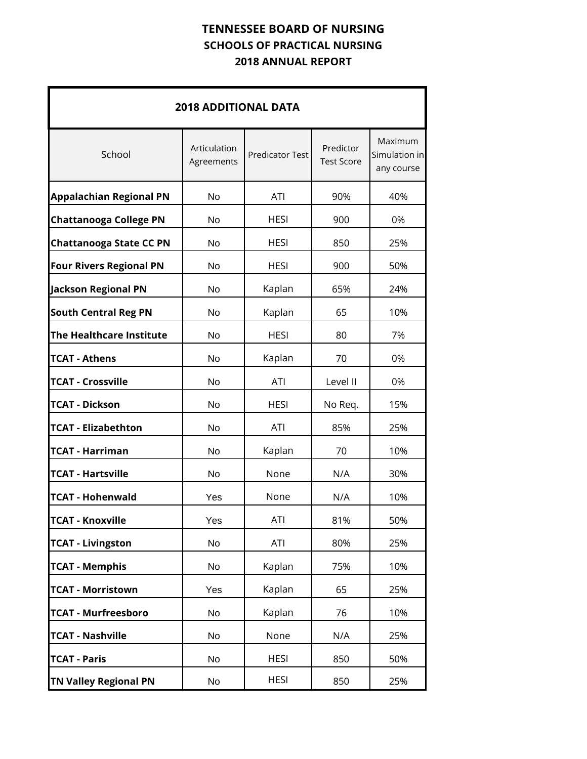|                                 | <b>2018 ADDITIONAL DATA</b> |                        |                                |                                               |  |  |  |  |  |  |  |  |  |
|---------------------------------|-----------------------------|------------------------|--------------------------------|-----------------------------------------------|--|--|--|--|--|--|--|--|--|
| School                          | Articulation<br>Agreements  | <b>Predicator Test</b> | Predictor<br><b>Test Score</b> | <b>Maximum</b><br>Simulation in<br>any course |  |  |  |  |  |  |  |  |  |
| <b>Appalachian Regional PN</b>  | <b>No</b>                   | <b>ATI</b>             | 90%                            | 40%                                           |  |  |  |  |  |  |  |  |  |
| <b>Chattanooga College PN</b>   | No                          | <b>HESI</b>            | 900                            | 0%                                            |  |  |  |  |  |  |  |  |  |
| <b>Chattanooga State CC PN</b>  | No                          | <b>HESI</b>            | 850                            | 25%                                           |  |  |  |  |  |  |  |  |  |
| <b>Four Rivers Regional PN</b>  | No                          | <b>HESI</b>            | 900                            | 50%                                           |  |  |  |  |  |  |  |  |  |
| <b>Jackson Regional PN</b>      | No                          | Kaplan                 | 65%                            | 24%                                           |  |  |  |  |  |  |  |  |  |
| <b>South Central Reg PN</b>     | No                          | Kaplan                 | 65                             | 10%                                           |  |  |  |  |  |  |  |  |  |
| <b>The Healthcare Institute</b> | <b>No</b>                   | <b>HESI</b>            | 80                             | 7%                                            |  |  |  |  |  |  |  |  |  |
| <b>TCAT - Athens</b>            | No                          | Kaplan                 | 70                             | 0%                                            |  |  |  |  |  |  |  |  |  |
| <b>TCAT - Crossville</b>        | No                          | <b>ATI</b>             | Level II                       | 0%                                            |  |  |  |  |  |  |  |  |  |
| <b>TCAT - Dickson</b>           | No                          | <b>HESI</b>            | No Req.                        | 15%                                           |  |  |  |  |  |  |  |  |  |
| <b>TCAT - Elizabethton</b>      | <b>No</b>                   | <b>ATI</b>             | 85%                            | 25%                                           |  |  |  |  |  |  |  |  |  |
| <b>TCAT - Harriman</b>          | No                          | Kaplan                 | 70                             | 10%                                           |  |  |  |  |  |  |  |  |  |
| <b>TCAT - Hartsville</b>        | No                          | None                   | N/A                            | 30%                                           |  |  |  |  |  |  |  |  |  |
| <b>TCAT - Hohenwald</b>         | Yes                         | None                   | N/A                            | 10%                                           |  |  |  |  |  |  |  |  |  |
| <b>TCAT - Knoxville</b>         | Yes                         | ATI                    | 81%                            | 50%                                           |  |  |  |  |  |  |  |  |  |
| <b>TCAT - Livingston</b>        | No                          | ATI                    | 80%                            | 25%                                           |  |  |  |  |  |  |  |  |  |
| <b>TCAT - Memphis</b>           | No                          | Kaplan                 | 75%                            | 10%                                           |  |  |  |  |  |  |  |  |  |
| <b>TCAT - Morristown</b>        | Yes                         | Kaplan                 | 65                             | 25%                                           |  |  |  |  |  |  |  |  |  |
| <b>TCAT - Murfreesboro</b>      | No                          | Kaplan                 | 76                             | 10%                                           |  |  |  |  |  |  |  |  |  |
| <b>TCAT - Nashville</b>         | No                          | None                   | N/A                            | 25%                                           |  |  |  |  |  |  |  |  |  |
| <b>TCAT - Paris</b>             | No                          | <b>HESI</b>            | 850                            | 50%                                           |  |  |  |  |  |  |  |  |  |
| <b>TN Valley Regional PN</b>    | No                          | <b>HESI</b>            | 850                            | 25%                                           |  |  |  |  |  |  |  |  |  |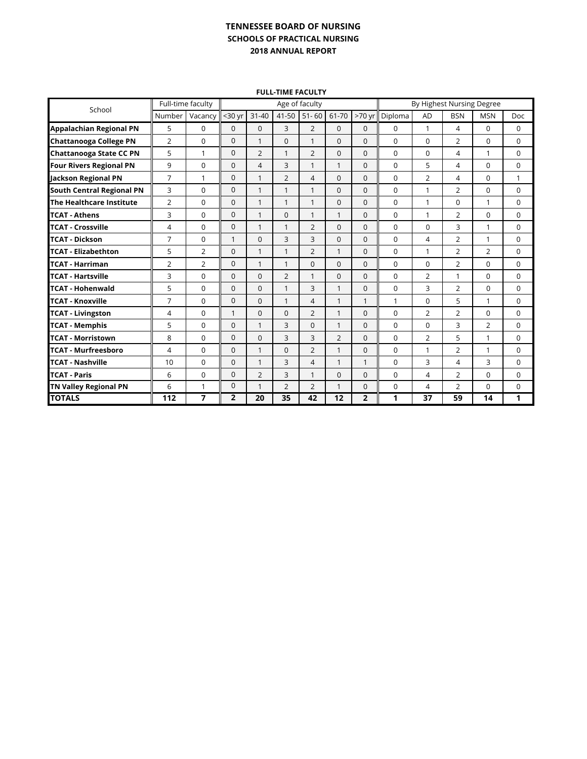#### **FULL-TIME FACULTY**

| School                           | Full-time faculty |                |                |                | Age of faculty |                | By Highest Nursing Degree |                |          |                |                |                |             |
|----------------------------------|-------------------|----------------|----------------|----------------|----------------|----------------|---------------------------|----------------|----------|----------------|----------------|----------------|-------------|
|                                  | Number            | Vacancy        | $30$ yr        | $31 - 40$      | 41-50          | $51 - 60$      | 61-70                     | $>70$ yr       | Diploma  | AD             | <b>BSN</b>     | <b>MSN</b>     | Doc.        |
| <b>Appalachian Regional PN</b>   | 5                 | 0              | $\mathbf{0}$   | $\Omega$       | 3              | $\overline{2}$ | $\Omega$                  | $\Omega$       | $\Omega$ | 1              | 4              | $\Omega$       | $\mathbf 0$ |
| <b>Chattanooga College PN</b>    | $\overline{2}$    | $\Omega$       | $\mathbf 0$    | 1              | $\Omega$       | $\mathbf{1}$   | $\Omega$                  | $\Omega$       | $\Omega$ | $\Omega$       | $\overline{2}$ | $\Omega$       | $\Omega$    |
| <b>Chattanooga State CC PN</b>   | 5                 | 1              | $\mathbf{0}$   | $\overline{2}$ | 1              | $\overline{2}$ | $\Omega$                  | $\Omega$       | $\Omega$ | $\Omega$       | 4              | 1              | 0           |
| <b>Four Rivers Regional PN</b>   | 9                 | $\Omega$       | $\mathbf{0}$   | 4              | 3              | 1              | $\mathbf{1}$              | $\Omega$       | $\Omega$ | 5              | 4              | $\Omega$       | $\Omega$    |
| Jackson Regional PN              | $\overline{7}$    | 1              | $\mathbf{0}$   | $\mathbf{1}$   | $\overline{2}$ | 4              | $\Omega$                  | $\Omega$       | $\Omega$ | 2              | 4              | 0              | 1           |
| <b>South Central Regional PN</b> | 3                 | 0              | $\mathbf{0}$   | $\mathbf{1}$   | 1              | $\mathbf{1}$   | $\mathbf{0}$              | $\Omega$       | $\Omega$ | 1              | $\overline{2}$ | 0              | $\mathbf 0$ |
| The Healthcare Institute         | $\overline{2}$    | 0              | $\mathbf{0}$   | $\mathbf{1}$   | 1              | $\mathbf{1}$   | $\mathbf{0}$              | $\Omega$       | 0        | 1              | $\Omega$       | 1              | $\mathbf 0$ |
| <b>TCAT - Athens</b>             | 3                 | 0              | $\mathbf{0}$   | $\mathbf{1}$   | 0              | $\mathbf{1}$   | $\mathbf{1}$              | $\Omega$       | $\Omega$ | 1              | $\overline{2}$ | 0              | $\Omega$    |
| <b>TCAT - Crossville</b>         | 4                 | 0              | $\mathbf{0}$   | $\mathbf{1}$   | 1              | $\overline{2}$ | $\Omega$                  | $\Omega$       | $\Omega$ | $\Omega$       | 3              | $\mathbf{1}$   | $\mathbf 0$ |
| <b>TCAT - Dickson</b>            | $\overline{7}$    | 0              | $\mathbf{1}$   | $\mathbf{0}$   | 3              | 3              | $\mathbf{0}$              | $\mathbf{0}$   | $\Omega$ | 4              | $\overline{2}$ | $\mathbf{1}$   | 0           |
| <b>TCAT - Elizabethton</b>       | 5                 | $\overline{2}$ | $\mathbf{0}$   | 1              | 1              | $\overline{2}$ | $\mathbf{1}$              | $\Omega$       | $\Omega$ | 1              | $\overline{2}$ | $\overline{2}$ | $\Omega$    |
| <b>TCAT - Harriman</b>           | $\overline{2}$    | $\overline{2}$ | $\mathbf{0}$   | 1              | 1              | $\mathbf{0}$   | $\Omega$                  | $\Omega$       | $\Omega$ | 0              | $\overline{2}$ | 0              | $\mathbf 0$ |
| <b>TCAT - Hartsville</b>         | 3                 | 0              | $\mathbf 0$    | $\Omega$       | $\overline{2}$ | 1              | $\Omega$                  | $\Omega$       | $\Omega$ | $\overline{2}$ | $\mathbf{1}$   | 0              | $\Omega$    |
| <b>TCAT - Hohenwald</b>          | 5                 | 0              | $\mathbf 0$    | $\mathbf{0}$   | 1              | 3              | $\mathbf{1}$              | $\mathbf{0}$   | 0        | 3              | $\overline{2}$ | 0              | $\mathbf 0$ |
| <b>TCAT - Knoxville</b>          | $\overline{7}$    | 0              | $\mathbf{0}$   | $\Omega$       | 1              | 4              | $\mathbf{1}$              | 1              | 1        | $\Omega$       | 5              | 1              | $\Omega$    |
| <b>TCAT - Livingston</b>         | 4                 | 0              | $\mathbf{1}$   | $\mathbf{0}$   | 0              | $\overline{2}$ | $\mathbf{1}$              | $\Omega$       | $\Omega$ | $\overline{2}$ | $\overline{2}$ | 0              | $\mathbf 0$ |
| <b>TCAT - Memphis</b>            | 5                 | 0              | $\mathbf 0$    | 1              | 3              | 0              | $\mathbf{1}$              | $\Omega$       | $\Omega$ | 0              | 3              | $\overline{2}$ | $\mathbf 0$ |
| <b>TCAT - Morristown</b>         | 8                 | 0              | $\mathbf 0$    | $\Omega$       | 3              | 3              | $\overline{2}$            | $\Omega$       | $\Omega$ | $\overline{2}$ | 5              | 1              | $\Omega$    |
| <b>TCAT - Murfreesboro</b>       | 4                 | 0              | $\mathbf 0$    | $\mathbf{1}$   | $\Omega$       | $\overline{2}$ | $\mathbf{1}$              | $\Omega$       | $\Omega$ | $\mathbf{1}$   | $\overline{2}$ | 1              | $\Omega$    |
| <b>TCAT - Nashville</b>          | 10                | 0              | $\mathbf{0}$   | 1              | 3              | 4              | $\mathbf{1}$              | 1              | 0        | 3              | 4              | 3              | 0           |
| <b>TCAT - Paris</b>              | 6                 | 0              | $\mathbf{0}$   | $\overline{2}$ | 3              | $\mathbf{1}$   | $\mathbf{0}$              | $\Omega$       | $\Omega$ | 4              | $\overline{2}$ | 0              | $\Omega$    |
| <b>TN Valley Regional PN</b>     | 6                 | 1              | $\mathbf 0$    | $\mathbf{1}$   | $\overline{2}$ | $\overline{2}$ | $\mathbf{1}$              | $\Omega$       | $\Omega$ | 4              | $\overline{2}$ | $\Omega$       | $\Omega$    |
| <b>TOTALS</b>                    | 112               | 7              | $\overline{2}$ | 20             | 35             | 42             | 12                        | $\overline{2}$ | 1        | 37             | 59             | 14             | 1           |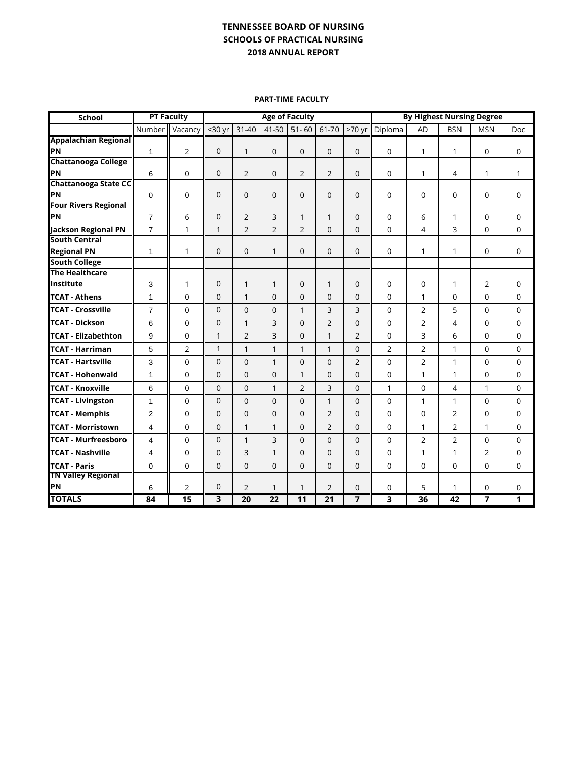**PART-TIME FACULTY**

| School                                      |                | <b>PT Faculty</b> | <b>Age of Faculty</b>   |                |                |                |                 | <b>By Highest Nursing Degree</b> |                |                |                |                |              |
|---------------------------------------------|----------------|-------------------|-------------------------|----------------|----------------|----------------|-----------------|----------------------------------|----------------|----------------|----------------|----------------|--------------|
|                                             | Number         | Vacancy           | $30$ yr                 | $31 - 40$      | $41 - 50$      | $51 - 60$      | 61-70           | >70 yr                           | Diploma        | <b>AD</b>      | <b>BSN</b>     | <b>MSN</b>     | Doc          |
| <b>Appalachian Regional</b>                 |                |                   |                         |                |                |                |                 |                                  |                |                |                |                |              |
| <b>PN</b>                                   | $\mathbf{1}$   | $\overline{2}$    | $\mathbf 0$             | 1              | $\Omega$       | $\mathbf{0}$   | $\Omega$        | $\mathbf 0$                      | $\mathbf 0$    | 1              | 1              | $\Omega$       | 0            |
| <b>Chattanooga College</b>                  |                |                   |                         |                |                |                |                 |                                  |                |                |                |                |              |
| PN                                          | 6              | $\mathbf 0$       | $\mathbf 0$             | 2              | $\mathbf{0}$   | $\overline{2}$ | $\overline{2}$  | $\mathbf 0$                      | $\mathbf 0$    | 1              | 4              | $\mathbf{1}$   | $\mathbf{1}$ |
| <b>Chattanooga State CC</b>                 |                |                   |                         |                |                |                |                 |                                  |                |                |                |                |              |
| PN                                          | $\mathbf 0$    | $\mathbf 0$       | $\mathbf 0$             | $\mathbf 0$    | $\mathbf{0}$   | $\mathbf{0}$   | $\mathbf{0}$    | $\mathbf 0$                      | 0              | 0              | 0              | 0              | 0            |
| <b>Four Rivers Regional</b><br>lΡN          |                |                   |                         |                |                |                |                 |                                  |                | 6              |                |                |              |
|                                             | $\overline{7}$ | 6                 | 0                       | 2              | 3              | $\mathbf{1}$   | $\mathbf{1}$    | 0                                | 0              |                | 1              | 0              | 0            |
| Jackson Regional PN<br><b>South Central</b> | $\overline{7}$ | $\mathbf{1}$      | $\mathbf{1}$            | 2              | $\overline{2}$ | $\overline{2}$ | $\Omega$        | $\Omega$                         | $\mathbf 0$    | 4              | 3              | $\Omega$       | $\mathbf 0$  |
| <b>Regional PN</b>                          | $\mathbf{1}$   | 1                 | $\mathbf 0$             | $\mathbf 0$    | 1              | 0              | $\mathbf{0}$    | $\overline{0}$                   | 0              | 1              | 1              | 0              | $\mathbf 0$  |
| <b>South College</b>                        |                |                   |                         |                |                |                |                 |                                  |                |                |                |                |              |
| <b>The Healthcare</b>                       |                |                   |                         |                |                |                |                 |                                  |                |                |                |                |              |
| Institute                                   | 3              | $\mathbf{1}$      | $\overline{0}$          | $\mathbf{1}$   | 1              | $\mathbf{0}$   | 1               | $\overline{0}$                   | 0              | $\overline{0}$ | 1              | $\overline{2}$ | 0            |
| <b>TCAT - Athens</b>                        | $\mathbf{1}$   | $\Omega$          | $\mathbf 0$             | 1              | $\Omega$       | $\Omega$       | $\Omega$        | $\mathbf 0$                      | $\mathbf 0$    | $\mathbf{1}$   | 0              | $\Omega$       | 0            |
| <b>TCAT - Crossville</b>                    | $\overline{7}$ | $\Omega$          | $\mathbf 0$             | $\mathbf 0$    | $\Omega$       | 1              | 3               | 3                                | 0              | 2              | 5              | $\Omega$       | 0            |
| <b>TCAT - Dickson</b>                       | 6              | $\mathbf 0$       | $\mathbf 0$             | 1              | 3              | $\mathbf{0}$   | $\overline{2}$  | $\overline{0}$                   | 0              | $\overline{2}$ | 4              | 0              | 0            |
| <b>TCAT - Elizabethton</b>                  | 9              | $\mathbf 0$       | $\mathbf{1}$            | 2              | 3              | $\Omega$       | $\mathbf{1}$    | $\overline{2}$                   | 0              | 3              | 6              | $\Omega$       | $\mathbf 0$  |
| TCAT - Harriman                             | 5              | $\overline{2}$    | $\mathbf{1}$            | 1              | 1              | 1              | $\mathbf{1}$    | $\Omega$                         | $\overline{2}$ | $\overline{2}$ | 1              | $\Omega$       | $\Omega$     |
| <b>TCAT - Hartsville</b>                    | 3              | $\Omega$          | $\mathbf 0$             | $\Omega$       | $\mathbf{1}$   | $\Omega$       | $\Omega$        | $\overline{2}$                   | $\Omega$       | $\overline{2}$ | $\mathbf{1}$   | $\Omega$       | $\Omega$     |
| <b>TCAT - Hohenwald</b>                     | $\mathbf{1}$   | $\overline{0}$    | $\mathbf 0$             | $\mathbf 0$    | $\mathbf{0}$   | 1              | $\overline{0}$  | $\overline{0}$                   | 0              | 1              | $\mathbf{1}$   | 0              | $\mathbf 0$  |
| <b>TCAT - Knoxville</b>                     | 6              | $\mathbf 0$       | $\mathbf 0$             | $\mathbf 0$    | $\mathbf{1}$   | $\overline{2}$ | 3               | $\mathbf{0}$                     | $\mathbf{1}$   | $\overline{0}$ | $\overline{4}$ | $\mathbf{1}$   | $\mathbf 0$  |
| <b>TCAT - Livingston</b>                    | $\mathbf{1}$   | $\mathbf 0$       | $\mathbf 0$             | $\mathbf 0$    | $\overline{0}$ | $\mathbf{0}$   | $\mathbf{1}$    | $\overline{0}$                   | 0              | 1              | $\mathbf{1}$   | 0              | $\mathbf 0$  |
| <b>TCAT - Memphis</b>                       | $\overline{2}$ | $\Omega$          | $\mathbf 0$             | $\mathbf 0$    | $\Omega$       | $\Omega$       | $\overline{2}$  | $\Omega$                         | $\mathbf 0$    | $\mathbf 0$    | 2              | $\Omega$       | 0            |
| <b>TCAT - Morristown</b>                    | $\overline{4}$ | $\Omega$          | $\mathbf 0$             | $\mathbf{1}$   | $\mathbf{1}$   | $\Omega$       | $\overline{2}$  | $\Omega$                         | 0              | $\mathbf{1}$   | $\overline{2}$ | $\mathbf{1}$   | $\mathbf 0$  |
| <b>TCAT - Murfreesboro</b>                  | $\overline{4}$ | $\overline{0}$    | $\mathbf 0$             | $\mathbf{1}$   | 3              | $\mathbf{0}$   | $\mathbf 0$     | $\overline{0}$                   | 0              | $\overline{2}$ | $\overline{2}$ | 0              | $\mathbf 0$  |
| <b>TCAT - Nashville</b>                     | $\overline{4}$ | $\overline{0}$    | $\overline{0}$          | 3              | $\mathbf{1}$   | $\Omega$       | $\Omega$        | $\overline{0}$                   | 0              | $\mathbf{1}$   | 1              | $\overline{2}$ | $\mathbf 0$  |
| <b>TCAT - Paris</b>                         | $\Omega$       | $\Omega$          | $\overline{0}$          | $\mathbf 0$    | $\mathbf{0}$   | $\Omega$       | $\Omega$        | $\Omega$                         | $\Omega$       | $\mathbf 0$    | $\Omega$       | $\Omega$       | 0            |
| <b>TN Valley Regional</b>                   |                |                   |                         |                |                |                |                 |                                  |                |                |                |                |              |
| <b>PN</b>                                   | 6              | 2                 | $\mathbf 0$             | $\overline{2}$ | 1              | 1              | $\overline{2}$  | 0                                | 0              | 5              | 1              | 0              | 0            |
| <b>TOTALS</b>                               | 84             | 15                | $\overline{\mathbf{3}}$ | 20             | 22             | 11             | $\overline{21}$ | 7                                | 3              | 36             | 42             | 7              | 1            |